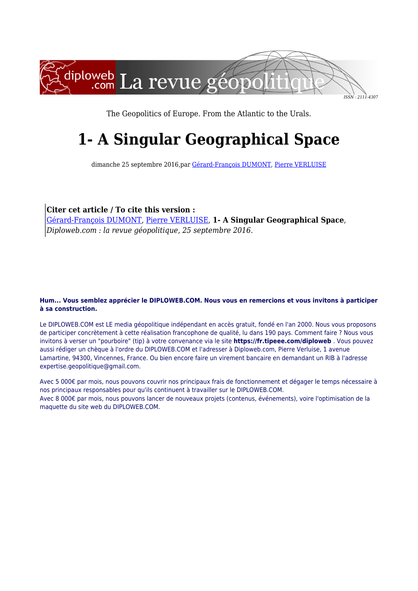

The Geopolitics of Europe. From the Atlantic to the Urals.

# **1- A Singular Geographical Space**

dimanche 25 septembre 2016,par [Gérard-François DUMONT](https://www.diploweb.com/_Gerard-Francois-DUMONT-16_.html), [Pierre VERLUISE](https://www.diploweb.com/_Pierre-VERLUISE-1_.html)

**Citer cet article / To cite this version :**

[Gérard-François DUMONT,](https://www.diploweb.com/_Gerard-Francois-DUMONT-16_.html) [Pierre VERLUISE,](https://www.diploweb.com/_Pierre-VERLUISE-1_.html) **1- A Singular Geographical Space**, *Diploweb.com : la revue géopolitique, 25 septembre 2016.*

#### **Hum... Vous semblez apprécier le DIPLOWEB.COM. Nous vous en remercions et vous invitons à participer à sa construction.**

Le DIPLOWEB.COM est LE media géopolitique indépendant en accès gratuit, fondé en l'an 2000. Nous vous proposons de participer concrètement à cette réalisation francophone de qualité, lu dans 190 pays. Comment faire ? Nous vous invitons à verser un "pourboire" (tip) à votre convenance via le site **https://fr.tipeee.com/diploweb** . Vous pouvez aussi rédiger un chèque à l'ordre du DIPLOWEB.COM et l'adresser à Diploweb.com, Pierre Verluise, 1 avenue Lamartine, 94300, Vincennes, France. Ou bien encore faire un virement bancaire en demandant un RIB à l'adresse expertise.geopolitique@gmail.com.

Avec 5 000€ par mois, nous pouvons couvrir nos principaux frais de fonctionnement et dégager le temps nécessaire à nos principaux responsables pour qu'ils continuent à travailler sur le DIPLOWEB.COM. Avec 8 000€ par mois, nous pouvons lancer de nouveaux projets (contenus, événements), voire l'optimisation de la maquette du site web du DIPLOWEB.COM.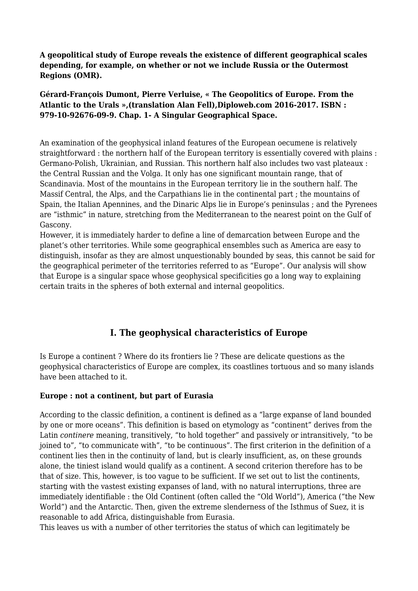**A geopolitical study of Europe reveals the existence of different geographical scales depending, for example, on whether or not we include Russia or the Outermost Regions (OMR).**

**Gérard-François Dumont, Pierre Verluise, « The Geopolitics of Europe. From the Atlantic to the Urals »,(translation Alan Fell),Diploweb.com 2016-2017. ISBN : 979-10-92676-09-9. Chap. 1- A Singular Geographical Space.**

An examination of the geophysical inland features of the European oecumene is relatively straightforward : the northern half of the European territory is essentially covered with plains : Germano-Polish, Ukrainian, and Russian. This northern half also includes two vast plateaux : the Central Russian and the Volga. It only has one significant mountain range, that of Scandinavia. Most of the mountains in the European territory lie in the southern half. The Massif Central, the Alps, and the Carpathians lie in the continental part ; the mountains of Spain, the Italian Apennines, and the Dinaric Alps lie in Europe's peninsulas ; and the Pyrenees are "isthmic" in nature, stretching from the Mediterranean to the nearest point on the Gulf of Gascony.

However, it is immediately harder to define a line of demarcation between Europe and the planet's other territories. While some geographical ensembles such as America are easy to distinguish, insofar as they are almost unquestionably bounded by seas, this cannot be said for the geographical perimeter of the territories referred to as "Europe". Our analysis will show that Europe is a singular space whose geophysical specificities go a long way to explaining certain traits in the spheres of both external and internal geopolitics.

## **I. The geophysical characteristics of Europe**

Is Europe a continent ? Where do its frontiers lie ? These are delicate questions as the geophysical characteristics of Europe are complex, its coastlines tortuous and so many islands have been attached to it.

#### **Europe : not a continent, but part of Eurasia**

According to the classic definition, a continent is defined as a "large expanse of land bounded by one or more oceans". This definition is based on etymology as "continent" derives from the Latin *continere* meaning, transitively, "to hold together" and passively or intransitively, "to be joined to", "to communicate with", "to be continuous". The first criterion in the definition of a continent lies then in the continuity of land, but is clearly insufficient, as, on these grounds alone, the tiniest island would qualify as a continent. A second criterion therefore has to be that of size. This, however, is too vague to be sufficient. If we set out to list the continents, starting with the vastest existing expanses of land, with no natural interruptions, three are immediately identifiable : the Old Continent (often called the "Old World"), America ("the New World") and the Antarctic. Then, given the extreme slenderness of the Isthmus of Suez, it is reasonable to add Africa, distinguishable from Eurasia.

This leaves us with a number of other territories the status of which can legitimately be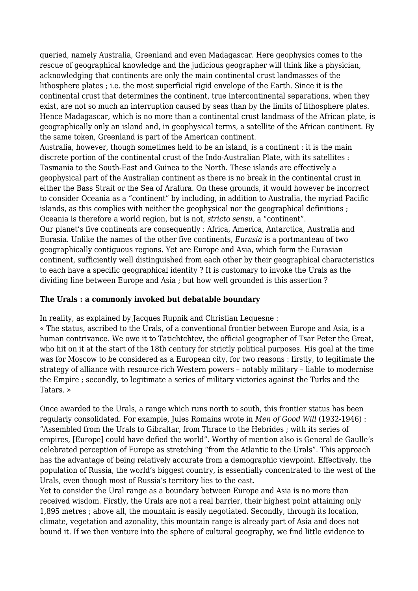queried, namely Australia, Greenland and even Madagascar. Here geophysics comes to the rescue of geographical knowledge and the judicious geographer will think like a physician, acknowledging that continents are only the main continental crust landmasses of the lithosphere plates ; i.e. the most superficial rigid envelope of the Earth. Since it is the continental crust that determines the continent, true intercontinental separations, when they exist, are not so much an interruption caused by seas than by the limits of lithosphere plates. Hence Madagascar, which is no more than a continental crust landmass of the African plate, is geographically only an island and, in geophysical terms, a satellite of the African continent. By the same token, Greenland is part of the American continent.

Australia, however, though sometimes held to be an island, is a continent : it is the main discrete portion of the continental crust of the Indo-Australian Plate, with its satellites : Tasmania to the South-East and Guinea to the North. These islands are effectively a geophysical part of the Australian continent as there is no break in the continental crust in either the Bass Strait or the Sea of Arafura. On these grounds, it would however be incorrect to consider Oceania as a "continent" by including, in addition to Australia, the myriad Pacific islands, as this complies with neither the geophysical nor the geographical definitions ; Oceania is therefore a world region, but is not, *stricto sensu*, a "continent". Our planet's five continents are consequently : Africa, America, Antarctica, Australia and Eurasia. Unlike the names of the other five continents, *Eurasia* is a portmanteau of two geographically contiguous regions. Yet are Europe and Asia, which form the Eurasian continent, sufficiently well distinguished from each other by their geographical characteristics to each have a specific geographical identity ? It is customary to invoke the Urals as the dividing line between Europe and Asia ; but how well grounded is this assertion ?

#### **The Urals : a commonly invoked but debatable boundary**

In reality, as explained by Jacques Rupnik and Christian Lequesne :

« The status, ascribed to the Urals, of a conventional frontier between Europe and Asia, is a human contrivance. We owe it to Tatichtchtev, the official geographer of Tsar Peter the Great, who hit on it at the start of the 18th century for strictly political purposes. His goal at the time was for Moscow to be considered as a European city, for two reasons : firstly, to legitimate the strategy of alliance with resource-rich Western powers – notably military – liable to modernise the Empire ; secondly, to legitimate a series of military victories against the Turks and the Tatars. »

Once awarded to the Urals, a range which runs north to south, this frontier status has been regularly consolidated. For example, Jules Romains wrote in *Men of Good Will* (1932-1946) : "Assembled from the Urals to Gibraltar, from Thrace to the Hebrides ; with its series of empires, [Europe] could have defied the world". Worthy of mention also is General de Gaulle's celebrated perception of Europe as stretching "from the Atlantic to the Urals". This approach has the advantage of being relatively accurate from a demographic viewpoint. Effectively, the population of Russia, the world's biggest country, is essentially concentrated to the west of the Urals, even though most of Russia's territory lies to the east.

Yet to consider the Ural range as a boundary between Europe and Asia is no more than received wisdom. Firstly, the Urals are not a real barrier, their highest point attaining only 1,895 metres ; above all, the mountain is easily negotiated. Secondly, through its location, climate, vegetation and azonality, this mountain range is already part of Asia and does not bound it. If we then venture into the sphere of cultural geography, we find little evidence to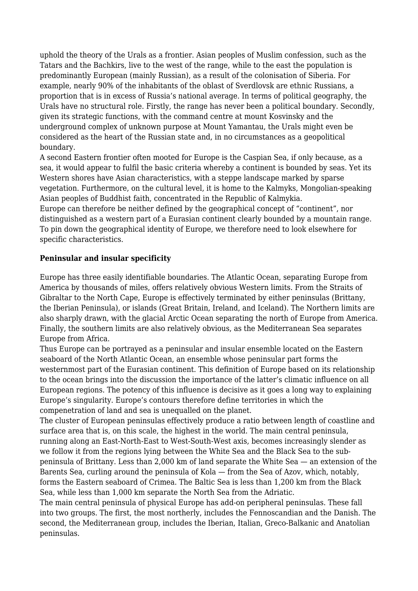uphold the theory of the Urals as a frontier. Asian peoples of Muslim confession, such as the Tatars and the Bachkirs, live to the west of the range, while to the east the population is predominantly European (mainly Russian), as a result of the colonisation of Siberia. For example, nearly 90% of the inhabitants of the oblast of Sverdlovsk are ethnic Russians, a proportion that is in excess of Russia's national average. In terms of political geography, the Urals have no structural role. Firstly, the range has never been a political boundary. Secondly, given its strategic functions, with the command centre at mount Kosvinsky and the underground complex of unknown purpose at Mount Yamantau, the Urals might even be considered as the heart of the Russian state and, in no circumstances as a geopolitical boundary.

A second Eastern frontier often mooted for Europe is the Caspian Sea, if only because, as a sea, it would appear to fulfil the basic criteria whereby a continent is bounded by seas. Yet its Western shores have Asian characteristics, with a steppe landscape marked by sparse vegetation. Furthermore, on the cultural level, it is home to the Kalmyks, Mongolian-speaking Asian peoples of Buddhist faith, concentrated in the Republic of Kalmykia.

Europe can therefore be neither defined by the geographical concept of "continent", nor distinguished as a western part of a Eurasian continent clearly bounded by a mountain range. To pin down the geographical identity of Europe, we therefore need to look elsewhere for specific characteristics.

#### **Peninsular and insular specificity**

Europe has three easily identifiable boundaries. The Atlantic Ocean, separating Europe from America by thousands of miles, offers relatively obvious Western limits. From the Straits of Gibraltar to the North Cape, Europe is effectively terminated by either peninsulas (Brittany, the Iberian Peninsula), or islands (Great Britain, Ireland, and Iceland). The Northern limits are also sharply drawn, with the glacial Arctic Ocean separating the north of Europe from America. Finally, the southern limits are also relatively obvious, as the Mediterranean Sea separates Europe from Africa.

Thus Europe can be portrayed as a peninsular and insular ensemble located on the Eastern seaboard of the North Atlantic Ocean, an ensemble whose peninsular part forms the westernmost part of the Eurasian continent. This definition of Europe based on its relationship to the ocean brings into the discussion the importance of the latter's climatic influence on all European regions. The potency of this influence is decisive as it goes a long way to explaining Europe's singularity. Europe's contours therefore define territories in which the compenetration of land and sea is unequalled on the planet.

The cluster of European peninsulas effectively produce a ratio between length of coastline and surface area that is, on this scale, the highest in the world. The main central peninsula, running along an East-North-East to West-South-West axis, becomes increasingly slender as we follow it from the regions lying between the White Sea and the Black Sea to the subpeninsula of Brittany. Less than 2,000 km of land separate the White Sea — an extension of the Barents Sea, curling around the peninsula of Kola — from the Sea of Azov, which, notably, forms the Eastern seaboard of Crimea. The Baltic Sea is less than 1,200 km from the Black Sea, while less than 1,000 km separate the North Sea from the Adriatic.

The main central peninsula of physical Europe has add-on peripheral peninsulas. These fall into two groups. The first, the most northerly, includes the Fennoscandian and the Danish. The second, the Mediterranean group, includes the Iberian, Italian, Greco-Balkanic and Anatolian peninsulas.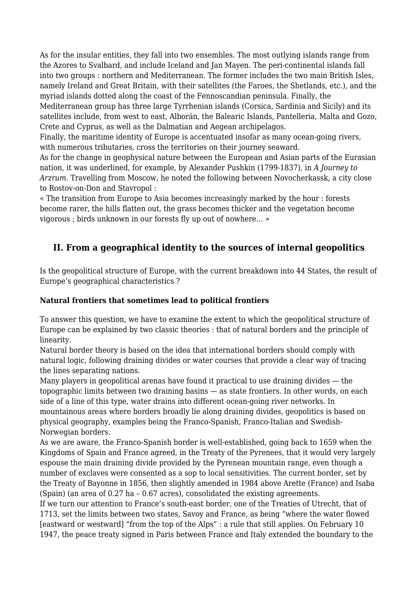As for the insular entities, they fall into two ensembles. The most outlying islands range from the Azores to Svalbard, and include Iceland and Jan Mayen. The peri-continental islands fall into two groups : northern and Mediterranean. The former includes the two main British Isles, namely Ireland and Great Britain, with their satellites (the Faroes, the Shetlands, etc.), and the myriad islands dotted along the coast of the Fennoscandian peninsula. Finally, the

Mediterranean group has three large Tyrrhenian islands (Corsica, Sardinia and Sicily) and its satellites include, from west to east, Alborán, the Balearic Islands, Pantelleria, Malta and Gozo, Crete and Cyprus, as well as the Dalmatian and Aegean archipelagos.

Finally, the maritime identity of Europe is accentuated insofar as many ocean-going rivers, with numerous tributaries, cross the territories on their journey seaward.

As for the change in geophysical nature between the European and Asian parts of the Eurasian nation, it was underlined, for example, by Alexander Pushkin (1799-1837), in *A Journey to Arzrum*. Travelling from Moscow, he noted the following between Novocherkassk, a city close to Rostov-on-Don and Stavropol :

« The transition from Europe to Asia becomes increasingly marked by the hour : forests become rarer, the hills flatten out, the grass becomes thicker and the vegetation become vigorous ; birds unknown in our forests fly up out of nowhere… »

## **II. From a geographical identity to the sources of internal geopolitics**

Is the geopolitical structure of Europe, with the current breakdown into 44 States, the result of Europe's geographical characteristics ?

### **Natural frontiers that sometimes lead to political frontiers**

To answer this question, we have to examine the extent to which the geopolitical structure of Europe can be explained by two classic theories : that of natural borders and the principle of linearity.

Natural border theory is based on the idea that international borders should comply with natural logic, following draining divides or water courses that provide a clear way of tracing the lines separating nations.

Many players in geopolitical arenas have found it practical to use draining divides — the topographic limits between two draining basins — as state frontiers. In other words, on each side of a line of this type, water drains into different ocean-going river networks. In mountainous areas where borders broadly lie along draining divides, geopolitics is based on physical geography, examples being the Franco-Spanish, Franco-Italian and Swedish-Norwegian borders.

As we are aware, the Franco-Spanish border is well-established, going back to 1659 when the Kingdoms of Spain and France agreed, in the Treaty of the Pyrenees, that it would very largely espouse the main draining divide provided by the Pyrenean mountain range, even though a number of exclaves were consented as a sop to local sensitivities. The current border, set by the Treaty of Bayonne in 1856, then slightly amended in 1984 above Arette (France) and Isaba (Spain) (an area of 0.27 ha – 0.67 acres), consolidated the existing agreements.

If we turn our attention to France's south-east border, one of the Treaties of Utrecht, that of 1713, set the limits between two states, Savoy and France, as being "where the water flowed [eastward or westward] "from the top of the Alps" : a rule that still applies. On February 10 1947, the peace treaty signed in Paris between France and Italy extended the boundary to the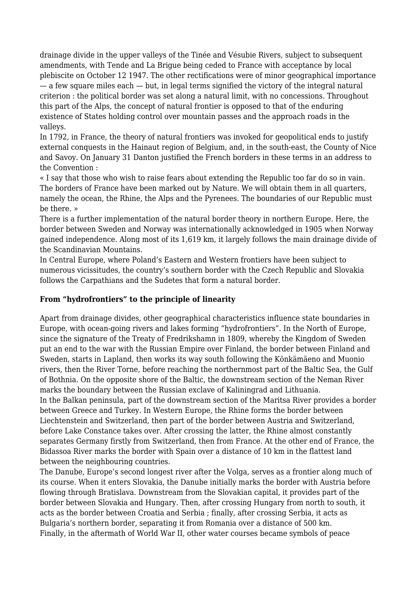drainage divide in the upper valleys of the Tinée and Vésubie Rivers, subject to subsequent amendments, with Tende and La Brigue being ceded to France with acceptance by local plebiscite on October 12 1947. The other rectifications were of minor geographical importance  $-$  a few square miles each  $-$  but, in legal terms signified the victory of the integral natural criterion : the political border was set along a natural limit, with no concessions. Throughout this part of the Alps, the concept of natural frontier is opposed to that of the enduring existence of States holding control over mountain passes and the approach roads in the valleys.

In 1792, in France, the theory of natural frontiers was invoked for geopolitical ends to justify external conquests in the Hainaut region of Belgium, and, in the south-east, the County of Nice and Savoy. On January 31 Danton justified the French borders in these terms in an address to the Convention :

« I say that those who wish to raise fears about extending the Republic too far do so in vain. The borders of France have been marked out by Nature. We will obtain them in all quarters, namely the ocean, the Rhine, the Alps and the Pyrenees. The boundaries of our Republic must be there. »

There is a further implementation of the natural border theory in northern Europe. Here, the border between Sweden and Norway was internationally acknowledged in 1905 when Norway gained independence. Along most of its 1,619 km, it largely follows the main drainage divide of the Scandinavian Mountains.

In Central Europe, where Poland's Eastern and Western frontiers have been subject to numerous vicissitudes, the country's southern border with the Czech Republic and Slovakia follows the Carpathians and the Sudetes that form a natural border.

#### **From "hydrofrontiers" to the principle of linearity**

Apart from drainage divides, other geographical characteristics influence state boundaries in Europe, with ocean-going rivers and lakes forming "hydrofrontiers". In the North of Europe, since the signature of the Treaty of Fredrikshamn in 1809, whereby the Kingdom of Sweden put an end to the war with the Russian Empire over Finland, the border between Finland and Sweden, starts in Lapland, then works its way south following the Könkämäeno and Muonio rivers, then the River Torne, before reaching the northernmost part of the Baltic Sea, the Gulf of Bothnia. On the opposite shore of the Baltic, the downstream section of the Neman River marks the boundary between the Russian exclave of Kaliningrad and Lithuania. In the Balkan peninsula, part of the downstream section of the Maritsa River provides a border between Greece and Turkey. In Western Europe, the Rhine forms the border between Liechtenstein and Switzerland, then part of the border between Austria and Switzerland, before Lake Constance takes over. After crossing the latter, the Rhine almost constantly separates Germany firstly from Switzerland, then from France. At the other end of France, the Bidassoa River marks the border with Spain over a distance of 10 km in the flattest land between the neighbouring countries.

The Danube, Europe's second longest river after the Volga, serves as a frontier along much of its course. When it enters Slovakia, the Danube initially marks the border with Austria before flowing through Bratislava. Downstream from the Slovakian capital, it provides part of the border between Slovakia and Hungary. Then, after crossing Hungary from north to south, it acts as the border between Croatia and Serbia ; finally, after crossing Serbia, it acts as Bulgaria's northern border, separating it from Romania over a distance of 500 km. Finally, in the aftermath of World War II, other water courses became symbols of peace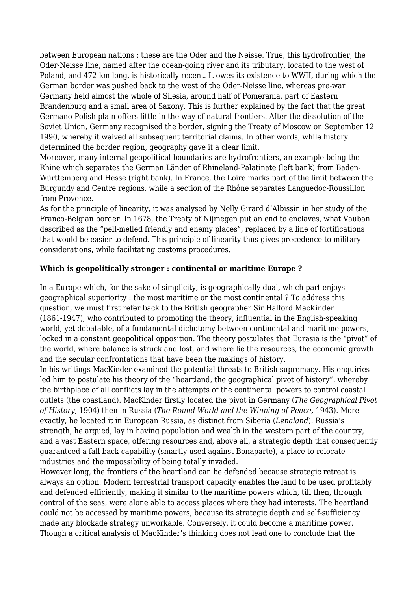between European nations : these are the Oder and the Neisse. True, this hydrofrontier, the Oder-Neisse line, named after the ocean-going river and its tributary, located to the west of Poland, and 472 km long, is historically recent. It owes its existence to WWII, during which the German border was pushed back to the west of the Oder-Neisse line, whereas pre-war Germany held almost the whole of Silesia, around half of Pomerania, part of Eastern Brandenburg and a small area of Saxony. This is further explained by the fact that the great Germano-Polish plain offers little in the way of natural frontiers. After the dissolution of the Soviet Union, Germany recognised the border, signing the Treaty of Moscow on September 12 1990, whereby it waived all subsequent territorial claims. In other words, while history determined the border region, geography gave it a clear limit.

Moreover, many internal geopolitical boundaries are hydrofrontiers, an example being the Rhine which separates the German Länder of Rhineland-Palatinate (left bank) from Baden-Württemberg and Hesse (right bank). In France, the Loire marks part of the limit between the Burgundy and Centre regions, while a section of the Rhône separates Languedoc-Roussillon from Provence.

As for the principle of linearity, it was analysed by Nelly Girard d'Albissin in her study of the Franco-Belgian border. In 1678, the Treaty of Nijmegen put an end to enclaves, what Vauban described as the "pell-melled friendly and enemy places", replaced by a line of fortifications that would be easier to defend. This principle of linearity thus gives precedence to military considerations, while facilitating customs procedures.

#### **Which is geopolitically stronger : continental or maritime Europe ?**

In a Europe which, for the sake of simplicity, is geographically dual, which part enjoys geographical superiority : the most maritime or the most continental ? To address this question, we must first refer back to the British geographer Sir Halford MacKinder (1861-1947), who contributed to promoting the theory, influential in the English-speaking world, yet debatable, of a fundamental dichotomy between continental and maritime powers, locked in a constant geopolitical opposition. The theory postulates that Eurasia is the "pivot" of the world, where balance is struck and lost, and where lie the resources, the economic growth and the secular confrontations that have been the makings of history.

In his writings MacKinder examined the potential threats to British supremacy. His enquiries led him to postulate his theory of the "heartland, the geographical pivot of history", whereby the birthplace of all conflicts lay in the attempts of the continental powers to control coastal outlets (the coastland). MacKinder firstly located the pivot in Germany (*The Geographical Pivot of History,* 1904) then in Russia (*The Round World and the Winning of Peace,* 1943). More exactly, he located it in European Russia, as distinct from Siberia (*Lenaland*). Russia's strength, he argued, lay in having population and wealth in the western part of the country, and a vast Eastern space, offering resources and, above all, a strategic depth that consequently guaranteed a fall-back capability (smartly used against Bonaparte), a place to relocate industries and the impossibility of being totally invaded.

However long, the frontiers of the heartland can be defended because strategic retreat is always an option. Modern terrestrial transport capacity enables the land to be used profitably and defended efficiently, making it similar to the maritime powers which, till then, through control of the seas, were alone able to access places where they had interests. The heartland could not be accessed by maritime powers, because its strategic depth and self-sufficiency made any blockade strategy unworkable. Conversely, it could become a maritime power. Though a critical analysis of MacKinder's thinking does not lead one to conclude that the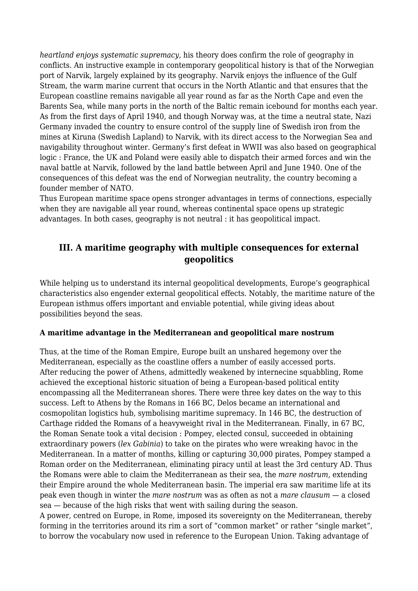*heartland enjoys systematic supremacy*, his theory does confirm the role of geography in conflicts. An instructive example in contemporary geopolitical history is that of the Norwegian port of Narvik, largely explained by its geography. Narvik enjoys the influence of the Gulf Stream, the warm marine current that occurs in the North Atlantic and that ensures that the European coastline remains navigable all year round as far as the North Cape and even the Barents Sea, while many ports in the north of the Baltic remain icebound for months each year. As from the first days of April 1940, and though Norway was, at the time a neutral state, Nazi Germany invaded the country to ensure control of the supply line of Swedish iron from the mines at Kiruna (Swedish Lapland) to Narvik, with its direct access to the Norwegian Sea and navigability throughout winter. Germany's first defeat in WWII was also based on geographical logic : France, the UK and Poland were easily able to dispatch their armed forces and win the naval battle at Narvik, followed by the land battle between April and June 1940. One of the consequences of this defeat was the end of Norwegian neutrality, the country becoming a founder member of NATO.

Thus European maritime space opens stronger advantages in terms of connections, especially when they are navigable all year round, whereas continental space opens up strategic advantages. In both cases, geography is not neutral : it has geopolitical impact.

## **III. A maritime geography with multiple consequences for external geopolitics**

While helping us to understand its internal geopolitical developments, Europe's geographical characteristics also engender external geopolitical effects. Notably, the maritime nature of the European isthmus offers important and enviable potential, while giving ideas about possibilities beyond the seas.

#### **A maritime advantage in the Mediterranean and geopolitical mare nostrum**

Thus, at the time of the Roman Empire, Europe built an unshared hegemony over the Mediterranean, especially as the coastline offers a number of easily accessed ports. After reducing the power of Athens, admittedly weakened by internecine squabbling, Rome achieved the exceptional historic situation of being a European-based political entity encompassing all the Mediterranean shores. There were three key dates on the way to this success. Left to Athens by the Romans in 166 BC, Delos became an international and cosmopolitan logistics hub, symbolising maritime supremacy. In 146 BC, the destruction of Carthage ridded the Romans of a heavyweight rival in the Mediterranean. Finally, in 67 BC, the Roman Senate took a vital decision : Pompey, elected consul, succeeded in obtaining extraordinary powers (*lex Gabinia*) to take on the pirates who were wreaking havoc in the Mediterranean. In a matter of months, killing or capturing 30,000 pirates, Pompey stamped a Roman order on the Mediterranean, eliminating piracy until at least the 3rd century AD. Thus the Romans were able to claim the Mediterranean as their sea, the *mare nostrum*, extending their Empire around the whole Mediterranean basin. The imperial era saw maritime life at its peak even though in winter the *mare nostrum* was as often as not a *mare clausum* — a closed sea — because of the high risks that went with sailing during the season.

A power, centred on Europe, in Rome, imposed its sovereignty on the Mediterranean, thereby forming in the territories around its rim a sort of "common market" or rather "single market", to borrow the vocabulary now used in reference to the European Union. Taking advantage of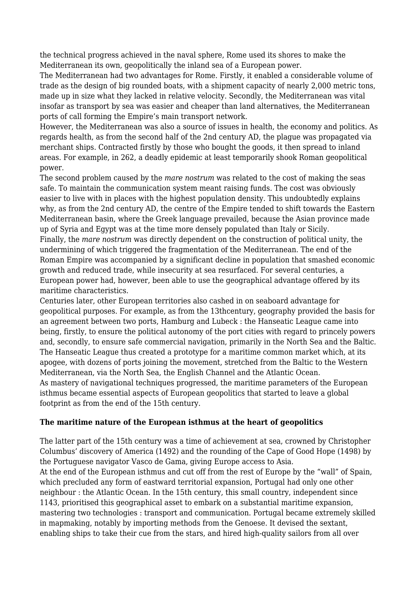the technical progress achieved in the naval sphere, Rome used its shores to make the Mediterranean its own, geopolitically the inland sea of a European power.

The Mediterranean had two advantages for Rome. Firstly, it enabled a considerable volume of trade as the design of big rounded boats, with a shipment capacity of nearly 2,000 metric tons, made up in size what they lacked in relative velocity. Secondly, the Mediterranean was vital insofar as transport by sea was easier and cheaper than land alternatives, the Mediterranean ports of call forming the Empire's main transport network.

However, the Mediterranean was also a source of issues in health, the economy and politics. As regards health, as from the second half of the 2nd century AD, the plague was propagated via merchant ships. Contracted firstly by those who bought the goods, it then spread to inland areas. For example, in 262, a deadly epidemic at least temporarily shook Roman geopolitical power.

The second problem caused by the *mare nostrum* was related to the cost of making the seas safe. To maintain the communication system meant raising funds. The cost was obviously easier to live with in places with the highest population density. This undoubtedly explains why, as from the 2nd century AD, the centre of the Empire tended to shift towards the Eastern Mediterranean basin, where the Greek language prevailed, because the Asian province made up of Syria and Egypt was at the time more densely populated than Italy or Sicily. Finally, the *mare nostrum* was directly dependent on the construction of political unity, the undermining of which triggered the fragmentation of the Mediterranean. The end of the Roman Empire was accompanied by a significant decline in population that smashed economic growth and reduced trade, while insecurity at sea resurfaced. For several centuries, a European power had, however, been able to use the geographical advantage offered by its maritime characteristics.

Centuries later, other European territories also cashed in on seaboard advantage for geopolitical purposes. For example, as from the 13thcentury, geography provided the basis for an agreement between two ports, Hamburg and Lubeck : the Hanseatic League came into being, firstly, to ensure the political autonomy of the port cities with regard to princely powers and, secondly, to ensure safe commercial navigation, primarily in the North Sea and the Baltic. The Hanseatic League thus created a prototype for a maritime common market which, at its apogee, with dozens of ports joining the movement, stretched from the Baltic to the Western Mediterranean, via the North Sea, the English Channel and the Atlantic Ocean. As mastery of navigational techniques progressed, the maritime parameters of the European isthmus became essential aspects of European geopolitics that started to leave a global footprint as from the end of the 15th century.

#### **The maritime nature of the European isthmus at the heart of geopolitics**

The latter part of the 15th century was a time of achievement at sea, crowned by Christopher Columbus' discovery of America (1492) and the rounding of the Cape of Good Hope (1498) by the Portuguese navigator Vasco de Gama, giving Europe access to Asia.

At the end of the European isthmus and cut off from the rest of Europe by the "wall" of Spain, which precluded any form of eastward territorial expansion, Portugal had only one other neighbour : the Atlantic Ocean. In the 15th century, this small country, independent since 1143, prioritised this geographical asset to embark on a substantial maritime expansion, mastering two technologies : transport and communication. Portugal became extremely skilled in mapmaking, notably by importing methods from the Genoese. It devised the sextant, enabling ships to take their cue from the stars, and hired high-quality sailors from all over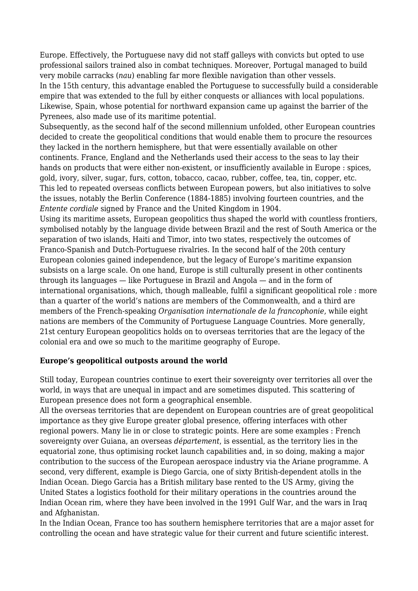Europe. Effectively, the Portuguese navy did not staff galleys with convicts but opted to use professional sailors trained also in combat techniques. Moreover, Portugal managed to build very mobile carracks (*nau*) enabling far more flexible navigation than other vessels. In the 15th century, this advantage enabled the Portuguese to successfully build a considerable empire that was extended to the full by either conquests or alliances with local populations. Likewise, Spain, whose potential for northward expansion came up against the barrier of the Pyrenees, also made use of its maritime potential.

Subsequently, as the second half of the second millennium unfolded, other European countries decided to create the geopolitical conditions that would enable them to procure the resources they lacked in the northern hemisphere, but that were essentially available on other continents. France, England and the Netherlands used their access to the seas to lay their hands on products that were either non-existent, or insufficiently available in Europe : spices, gold, ivory, silver, sugar, furs, cotton, tobacco, cacao, rubber, coffee, tea, tin, copper, etc. This led to repeated overseas conflicts between European powers, but also initiatives to solve the issues, notably the Berlin Conference (1884-1885) involving fourteen countries, and the *Entente cordiale* signed by France and the United Kingdom in 1904.

Using its maritime assets, European geopolitics thus shaped the world with countless frontiers, symbolised notably by the language divide between Brazil and the rest of South America or the separation of two islands, Haiti and Timor, into two states, respectively the outcomes of Franco-Spanish and Dutch-Portuguese rivalries. In the second half of the 20th century European colonies gained independence, but the legacy of Europe's maritime expansion subsists on a large scale. On one hand, Europe is still culturally present in other continents through its languages — like Portuguese in Brazil and Angola — and in the form of international organisations, which, though malleable, fulfil a significant geopolitical role : more than a quarter of the world's nations are members of the Commonwealth, and a third are members of the French-speaking *Organisation internationale de la francophonie*, while eight nations are members of the Community of Portuguese Language Countries. More generally, 21st century European geopolitics holds on to overseas territories that are the legacy of the colonial era and owe so much to the maritime geography of Europe.

#### **Europe's geopolitical outposts around the world**

Still today, European countries continue to exert their sovereignty over territories all over the world, in ways that are unequal in impact and are sometimes disputed. This scattering of European presence does not form a geographical ensemble.

All the overseas territories that are dependent on European countries are of great geopolitical importance as they give Europe greater global presence, offering interfaces with other regional powers. Many lie in or close to strategic points. Here are some examples : French sovereignty over Guiana, an overseas *département*, is essential, as the territory lies in the equatorial zone, thus optimising rocket launch capabilities and, in so doing, making a major contribution to the success of the European aerospace industry via the Ariane programme. A second, very different, example is Diego Garcia, one of sixty British-dependent atolls in the Indian Ocean. Diego Garcia has a British military base rented to the US Army, giving the United States a logistics foothold for their military operations in the countries around the Indian Ocean rim, where they have been involved in the 1991 Gulf War, and the wars in Iraq and Afghanistan.

In the Indian Ocean, France too has southern hemisphere territories that are a major asset for controlling the ocean and have strategic value for their current and future scientific interest.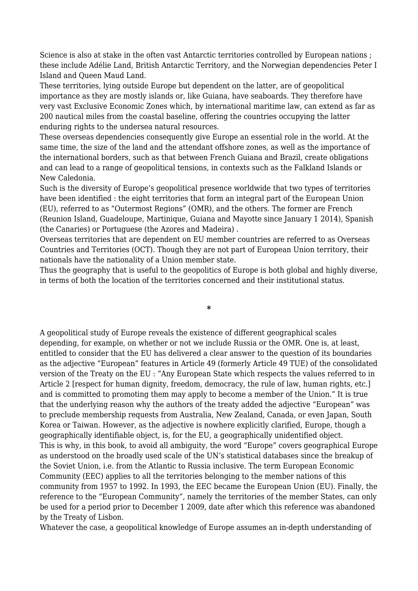Science is also at stake in the often vast Antarctic territories controlled by European nations ; these include Adélie Land, British Antarctic Territory, and the Norwegian dependencies Peter I Island and Queen Maud Land.

These territories, lying outside Europe but dependent on the latter, are of geopolitical importance as they are mostly islands or, like Guiana, have seaboards. They therefore have very vast Exclusive Economic Zones which, by international maritime law, can extend as far as 200 nautical miles from the coastal baseline, offering the countries occupying the latter enduring rights to the undersea natural resources.

These overseas dependencies consequently give Europe an essential role in the world. At the same time, the size of the land and the attendant offshore zones, as well as the importance of the international borders, such as that between French Guiana and Brazil, create obligations and can lead to a range of geopolitical tensions, in contexts such as the Falkland Islands or New Caledonia.

Such is the diversity of Europe's geopolitical presence worldwide that two types of territories have been identified : the eight territories that form an integral part of the European Union (EU), referred to as "Outermost Regions" (OMR), and the others. The former are French (Reunion Island, Guadeloupe, Martinique, Guiana and Mayotte since January 1 2014), Spanish (the Canaries) or Portuguese (the Azores and Madeira) .

Overseas territories that are dependent on EU member countries are referred to as Overseas Countries and Territories (OCT). Though they are not part of European Union territory, their nationals have the nationality of a Union member state.

Thus the geography that is useful to the geopolitics of Europe is both global and highly diverse, in terms of both the location of the territories concerned and their institutional status.

**\***

A geopolitical study of Europe reveals the existence of different geographical scales depending, for example, on whether or not we include Russia or the OMR. One is, at least, entitled to consider that the EU has delivered a clear answer to the question of its boundaries as the adjective "European" features in Article 49 (formerly Article 49 TUE) of the consolidated version of the Treaty on the EU : "Any European State which respects the values referred to in Article 2 [respect for human dignity, freedom, democracy, the rule of law, human rights, etc.] and is committed to promoting them may apply to become a member of the Union." It is true that the underlying reason why the authors of the treaty added the adjective "European" was to preclude membership requests from Australia, New Zealand, Canada, or even Japan, South Korea or Taiwan. However, as the adjective is nowhere explicitly clarified, Europe, though a geographically identifiable object, is, for the EU, a geographically unidentified object. This is why, in this book, to avoid all ambiguity, the word "Europe" covers geographical Europe as understood on the broadly used scale of the UN's statistical databases since the breakup of the Soviet Union, i.e. from the Atlantic to Russia inclusive. The term European Economic Community (EEC) applies to all the territories belonging to the member nations of this community from 1957 to 1992. In 1993, the EEC became the European Union (EU). Finally, the reference to the "European Community", namely the territories of the member States, can only be used for a period prior to December 1 2009, date after which this reference was abandoned by the Treaty of Lisbon.

Whatever the case, a geopolitical knowledge of Europe assumes an in-depth understanding of